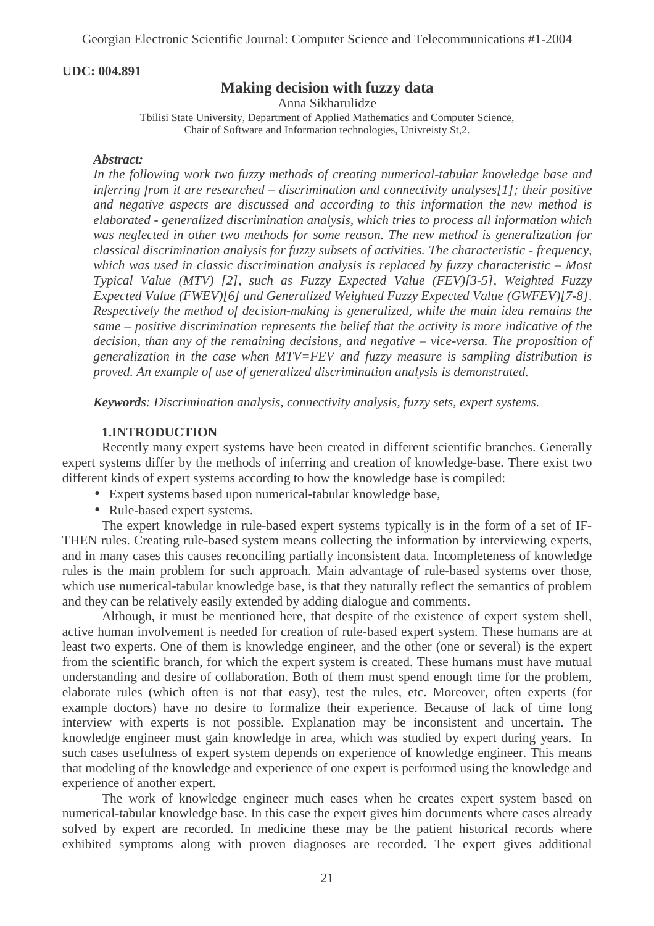## **UDC: 004.891**

# **Making decision with fuzzy data**

Anna Sikharulidze

Tbilisi State University, Department of Applied Mathematics and Computer Science, Chair of Software and Information technologies, Univreisty St,2.

#### *Abstract:*

*In the following work two fuzzy methods of creating numerical-tabular knowledge base and inferring from it are researched – discrimination and connectivity analyses[1]; their positive and negative aspects are discussed and according to this information the new method is elaborated - generalized discrimination analysis, which tries to process all information which was neglected in other two methods for some reason. The new method is generalization for classical discrimination analysis for fuzzy subsets of activities. The characteristic - frequency, which was used in classic discrimination analysis is replaced by fuzzy characteristic – Most Typical Value (MTV) [2], such as Fuzzy Expected Value (FEV)[3-5], Weighted Fuzzy Expected Value (FWEV)[6] and Generalized Weighted Fuzzy Expected Value (GWFEV)[7-8]. Respectively the method of decision-making is generalized, while the main idea remains the same – positive discrimination represents the belief that the activity is more indicative of the decision, than any of the remaining decisions, and negative – vice-versa. The proposition of generalization in the case when MTV=FEV and fuzzy measure is sampling distribution is proved. An example of use of generalized discrimination analysis is demonstrated.*

*Keywords: Discrimination analysis, connectivity analysis, fuzzy sets, expert systems.*

#### **1.INTRODUCTION**

Recently many expert systems have been created in different scientific branches. Generally expert systems differ by the methods of inferring and creation of knowledge-base. There exist two different kinds of expert systems according to how the knowledge base is compiled:

- Expert systems based upon numerical-tabular knowledge base,
- Rule-based expert systems.

The expert knowledge in rule-based expert systems typically is in the form of a set of IF-THEN rules. Creating rule-based system means collecting the information by interviewing experts, and in many cases this causes reconciling partially inconsistent data. Incompleteness of knowledge rules is the main problem for such approach. Main advantage of rule-based systems over those, which use numerical-tabular knowledge base, is that they naturally reflect the semantics of problem and they can be relatively easily extended by adding dialogue and comments.

Although, it must be mentioned here, that despite of the existence of expert system shell, active human involvement is needed for creation of rule-based expert system. These humans are at least two experts. One of them is knowledge engineer, and the other (one or several) is the expert from the scientific branch, for which the expert system is created. These humans must have mutual understanding and desire of collaboration. Both of them must spend enough time for the problem, elaborate rules (which often is not that easy), test the rules, etc. Moreover, often experts (for example doctors) have no desire to formalize their experience. Because of lack of time long interview with experts is not possible. Explanation may be inconsistent and uncertain. The knowledge engineer must gain knowledge in area, which was studied by expert during years. In such cases usefulness of expert system depends on experience of knowledge engineer. This means that modeling of the knowledge and experience of one expert is performed using the knowledge and experience of another expert.

The work of knowledge engineer much eases when he creates expert system based on numerical-tabular knowledge base. In this case the expert gives him documents where cases already solved by expert are recorded. In medicine these may be the patient historical records where exhibited symptoms along with proven diagnoses are recorded. The expert gives additional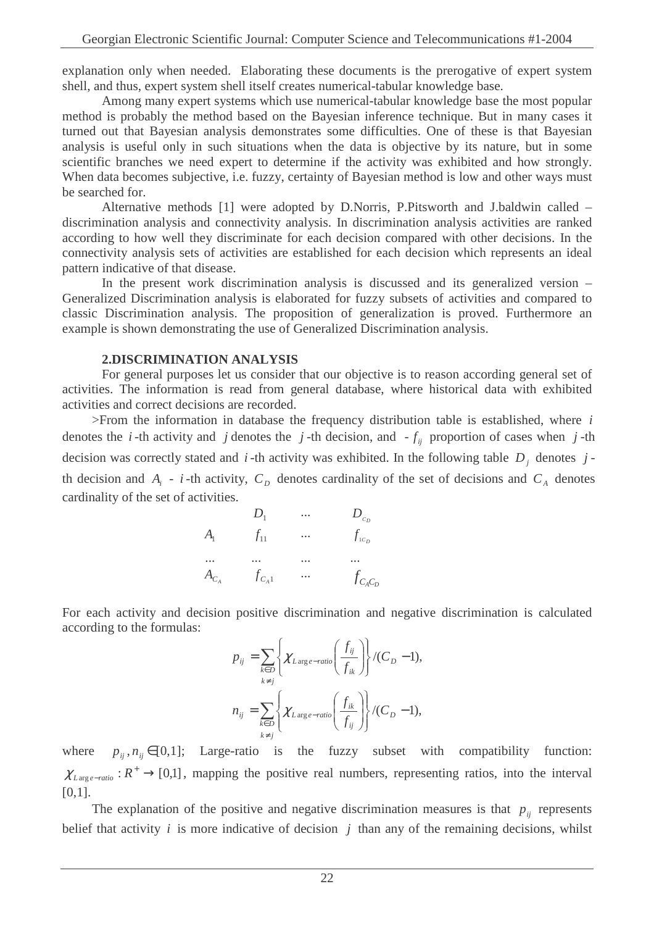explanation only when needed. Elaborating these documents is the prerogative of expert system shell, and thus, expert system shell itself creates numerical-tabular knowledge base.

Among many expert systems which use numerical-tabular knowledge base the most popular method is probably the method based on the Bayesian inference technique. But in many cases it turned out that Bayesian analysis demonstrates some difficulties. One of these is that Bayesian analysis is useful only in such situations when the data is objective by its nature, but in some scientific branches we need expert to determine if the activity was exhibited and how strongly. When data becomes subjective, i.e. fuzzy, certainty of Bayesian method is low and other ways must be searched for.

Alternative methods [1] were adopted by D.Norris, P.Pitsworth and J.baldwin called – discrimination analysis and connectivity analysis. In discrimination analysis activities are ranked according to how well they discriminate for each decision compared with other decisions. In the connectivity analysis sets of activities are established for each decision which represents an ideal pattern indicative of that disease.

In the present work discrimination analysis is discussed and its generalized version – Generalized Discrimination analysis is elaborated for fuzzy subsets of activities and compared to classic Discrimination analysis. The proposition of generalization is proved. Furthermore an example is shown demonstrating the use of Generalized Discrimination analysis.

#### **2.DISCRIMINATION ANALYSIS**

For general purposes let us consider that our objective is to reason according general set of activities. The information is read from general database, where historical data with exhibited activities and correct decisions are recorded.

>From the information in database the frequency distribution table is established, where *i* denotes the *i*-th activity and *j* denotes the *j*-th decision, and  $-f_{ij}$  proportion of cases when *j*-th decision was correctly stated and *i*-th activity was exhibited. In the following table  $D_j$  denotes  $j$ th decision and  $A_i$  - *i*-th activity,  $C_D$  denotes cardinality of the set of decisions and  $C_A$  denotes cardinality of the set of activities.

|                | $D_1$      | $\cdots$ | $D_{c_p}$     |
|----------------|------------|----------|---------------|
| A <sub>1</sub> | $f_{11}$   | $\cdots$ | $f_{_{1C_D}}$ |
|                |            |          |               |
| $A_{C_A}$      | $f_{C_A1}$ |          | $f_{C_A C_D}$ |

For each activity and decision positive discrimination and negative discrimination is calculated according to the formulas:

$$
p_{ij} = \sum_{k \in D} \left\{ \chi_{L \arg e - ratio} \left( \frac{f_{ij}}{f_{ik}} \right) \right\} / (C_D - 1),
$$
  

$$
n_{ij} = \sum_{\substack{k \in D \\ k \neq j}} \left\{ \chi_{L \arg e - ratio} \left( \frac{f_{ik}}{f_{ij}} \right) \right\} / (C_D - 1),
$$

where  $p_{ij}, n_{ij} \in [0,1]$ ; Large-ratio is the fuzzy subset with compatibility function:  $\chi_{\text{Large}-\text{ratio}}: R^+ \to [0,1]$ , mapping the positive real numbers, representing ratios, into the interval  $[0,1]$ .

The explanation of the positive and negative discrimination measures is that  $p_{ij}$  represents belief that activity  $i$  is more indicative of decision  $j$  than any of the remaining decisions, whilst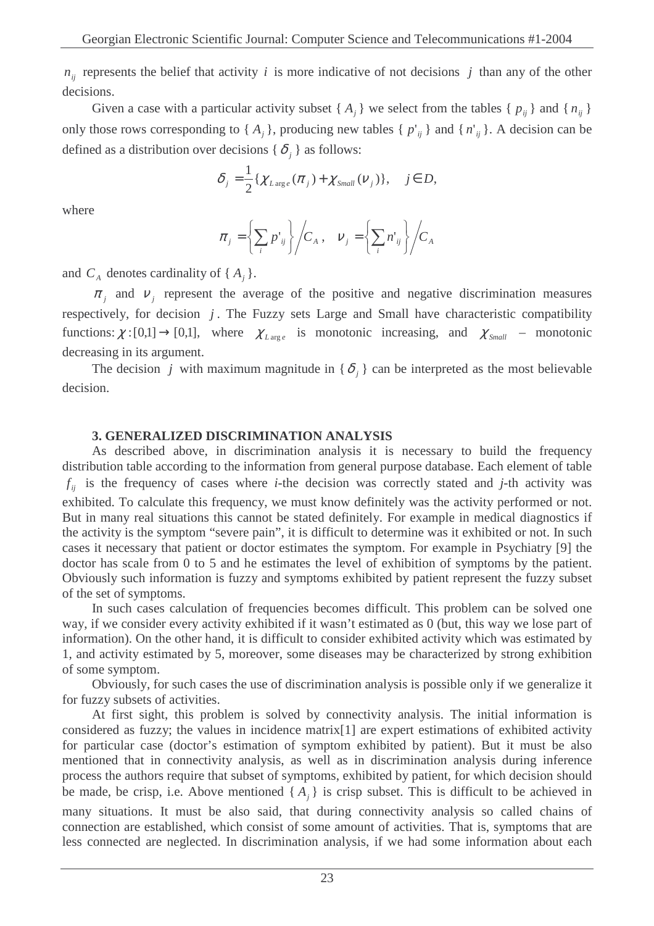$n_{ij}$  represents the belief that activity *i* is more indicative of not decisions *j* than any of the other decisions.

Given a case with a particular activity subset { $A_j$ } we select from the tables { $p_{ij}$ } and { $n_{ij}$ } only those rows corresponding to  $\{A_j\}$ , producing new tables  $\{p'_{ij}\}\$  and  $\{n'_{ij}\}\$ . A decision can be defined as a distribution over decisions { $\delta_j$ } as follows:

$$
\delta_j = \frac{1}{2} \{ \chi_{L \arg e}(\pi_j) + \chi_{Small}(V_j) \}, \quad j \in D,
$$

where

$$
\pi_j = \left\{ \sum_i p'_{ij} \right\} / C_A , \quad \nu_j = \left\{ \sum_i n'_{ij} \right\} / C_A
$$

and  $C_A$  denotes cardinality of  $\{A_j\}$ .

 $\pi_j$  and  $v_j$  represent the average of the positive and negative discrimination measures respectively, for decision *j* . The Fuzzy sets Large and Small have characteristic compatibility functions:  $\chi:[0,1] \to [0,1]$ , where  $\chi_{L \arg e}$  is monotonic increasing, and  $\chi_{Small}$  – monotonic decreasing in its argument.

The decision *j* with maximum magnitude in { $\delta$ <sub>*j*</sub> } can be interpreted as the most believable decision.

## **3. GENERALIZED DISCRIMINATION ANALYSIS**

As described above, in discrimination analysis it is necessary to build the frequency distribution table according to the information from general purpose database. Each element of table  $f_{ij}$  is the frequency of cases where *i*-the decision was correctly stated and *j*-th activity was exhibited. To calculate this frequency, we must know definitely was the activity performed or not. But in many real situations this cannot be stated definitely. For example in medical diagnostics if the activity is the symptom "severe pain", it is difficult to determine was it exhibited or not. In such cases it necessary that patient or doctor estimates the symptom. For example in Psychiatry [9] the doctor has scale from 0 to 5 and he estimates the level of exhibition of symptoms by the patient. Obviously such information is fuzzy and symptoms exhibited by patient represent the fuzzy subset of the set of symptoms.

In such cases calculation of frequencies becomes difficult. This problem can be solved one way, if we consider every activity exhibited if it wasn't estimated as 0 (but, this way we lose part of information). On the other hand, it is difficult to consider exhibited activity which was estimated by 1, and activity estimated by 5, moreover, some diseases may be characterized by strong exhibition of some symptom.

Obviously, for such cases the use of discrimination analysis is possible only if we generalize it for fuzzy subsets of activities.

At first sight, this problem is solved by connectivity analysis. The initial information is considered as fuzzy; the values in incidence matrix[1] are expert estimations of exhibited activity for particular case (doctor's estimation of symptom exhibited by patient). But it must be also mentioned that in connectivity analysis, as well as in discrimination analysis during inference process the authors require that subset of symptoms, exhibited by patient, for which decision should be made, be crisp, i.e. Above mentioned  $\{A_j\}$  is crisp subset. This is difficult to be achieved in many situations. It must be also said, that during connectivity analysis so called chains of connection are established, which consist of some amount of activities. That is, symptoms that are less connected are neglected. In discrimination analysis, if we had some information about each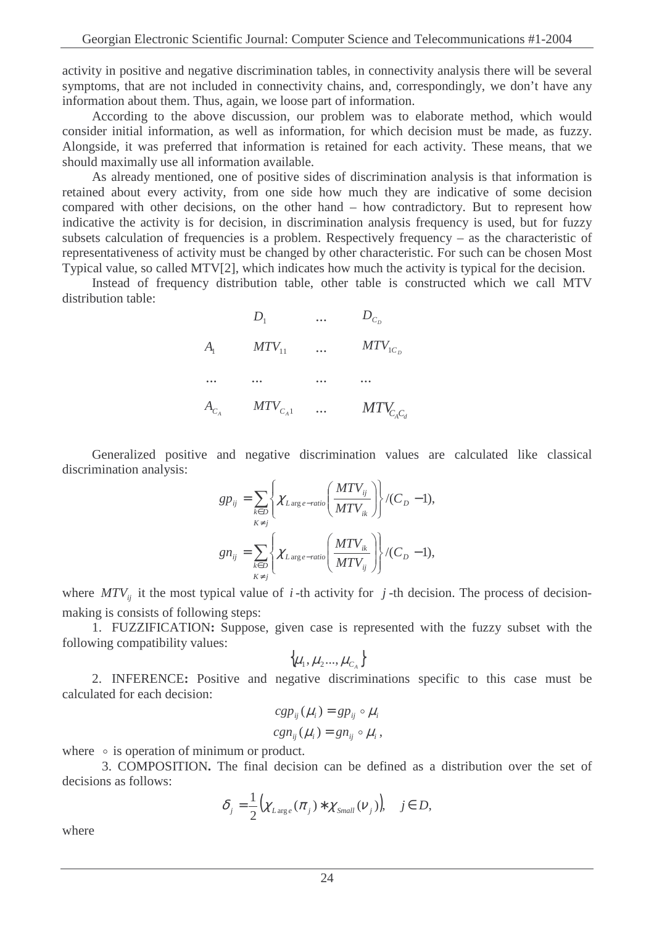activity in positive and negative discrimination tables, in connectivity analysis there will be several symptoms, that are not included in connectivity chains, and, correspondingly, we don't have any information about them. Thus, again, we loose part of information.

According to the above discussion, our problem was to elaborate method, which would consider initial information, as well as information, for which decision must be made, as fuzzy. Alongside, it was preferred that information is retained for each activity. These means, that we should maximally use all information available.

As already mentioned, one of positive sides of discrimination analysis is that information is retained about every activity, from one side how much they are indicative of some decision compared with other decisions, on the other hand – how contradictory. But to represent how indicative the activity is for decision, in discrimination analysis frequency is used, but for fuzzy subsets calculation of frequencies is a problem. Respectively frequency – as the characteristic of representativeness of activity must be changed by other characteristic. For such can be chosen Most Typical value, so called MTV[2], which indicates how much the activity is typical for the decision.

Instead of frequency distribution table, other table is constructed which we call MTV distribution table:

|                            | $D_1$        | $\cdots$ | $D_{C_n}$      |
|----------------------------|--------------|----------|----------------|
| $A_{\scriptscriptstyle 1}$ | $MTV_{11}$   | $\cdots$ | $MTV_{1C_D}$   |
|                            | $\cdots$     |          |                |
| $A_{C_A}$                  | $MTV_{C_A1}$ | $\cdots$ | $MTV_{C_AC_d}$ |

Generalized positive and negative discrimination values are calculated like classical discrimination analysis:

$$
gp_{ij} = \sum_{\substack{k \in D \\ K \neq j}} \left\{ \chi_{Larg \, e-ratio} \left( \frac{MTV_{ij}}{MTV_{ik}} \right) \right\} / (C_D - 1),
$$
  

$$
gn_{ij} = \sum_{\substack{k \in D \\ K \neq j}} \left\{ \chi_{Larg \, e-ratio} \left( \frac{MTV_{ik}}{MTV_{ij}} \right) \right\} / (C_D - 1),
$$

where  $MTV_{ij}$  it the most typical value of *i*-th activity for *j*-th decision. The process of decisionmaking is consists of following steps:

1. FUZZIFICATION**:** Suppose, given case is represented with the fuzzy subset with the following compatibility values:

$$
\big\{\mu_{1},\mu_{2}...,\mu_{C_{A}}\big\}
$$

2. INFERENCE**:** Positive and negative discriminations specific to this case must be calculated for each decision:

$$
cgp_{ij}(\mu_i) = gp_{ij} \circ \mu_i
$$
  

$$
cgn_{ij}(\mu_i) = gn_{ij} \circ \mu_i,
$$

where  $\circ$  is operation of minimum or product.

3. COMPOSITION**.** The final decision can be defined as a distribution over the set of decisions as follows:

$$
\delta_j = \frac{1}{2} \big( \chi_{L \arg e}(\pi_j) * \chi_{Small}(v_j) \big), \quad j \in D,
$$

where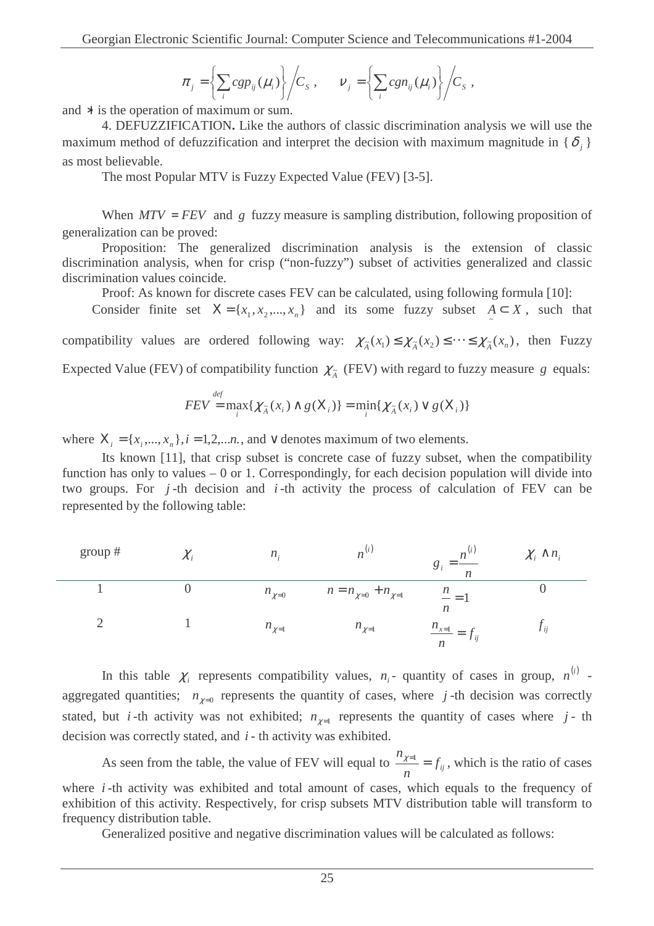$$
\pi_j = \left\{ \sum_i c g p_{ij}(\mu_i) \right\} / C_s , \qquad v_j = \left\{ \sum_i c g n_{ij}(\mu_i) \right\} / C_s ,
$$

and ∗ is the operation of maximum or sum.

4. DEFUZZIFICATION**.** Like the authors of classic discrimination analysis we will use the maximum method of defuzzification and interpret the decision with maximum magnitude in  $\{\delta_j\}$ as most believable.

The most Popular MTV is Fuzzy Expected Value (FEV) [3-5].

When  $MTV = FEV$  and g fuzzy measure is sampling distribution, following proposition of generalization can be proved:

Proposition: The generalized discrimination analysis is the extension of classic discrimination analysis, when for crisp ("non-fuzzy") subset of activities generalized and classic discrimination values coincide.

Proof: As known for discrete cases FEV can be calculated, using following formula [10]:

Consider finite set  $X = \{x_1, x_2, ..., x_n\}$  and its some fuzzy subset  $A \subset X$ , such that

compatibility values are ordered following way:  $\chi_{\tilde{A}}(x_1) \leq \chi_{\tilde{A}}(x_2) \leq \cdots \leq \chi_{\tilde{A}}(x_n)$ , then Fuzzy

Expected Value (FEV) of compatibility function  $\chi_{\tilde{A}}$  (FEV) with regard to fuzzy measure *g* equals:

$$
FEV = \max_{i} \{ \chi_{\tilde{A}}(x_i) \wedge g(X_i) \} = \min_{i} \{ \chi_{\tilde{A}}(x_i) \vee g(X_i) \}
$$

where  $X_i = \{x_i, ..., x_n\}, i = 1,2,...n$ , and  $\vee$  denotes maximum of two elements.

Its known [11], that crisp subset is concrete case of fuzzy subset, when the compatibility function has only to values  $-0$  or 1. Correspondingly, for each decision population will divide into two groups. For *j* -th decision and *i* -th activity the process of calculation of FEV can be represented by the following table:

| group $#$ | $\mathcal{L}$ i | $n_{\rm}$    | n <sup>1</sup>                |                                                  | $\chi_i \wedge n_i$ |
|-----------|-----------------|--------------|-------------------------------|--------------------------------------------------|---------------------|
|           |                 | $n_{\chi=0}$ | $n = n_{\chi=0} + n_{\chi=1}$ | $\mathfrak{n}$<br>$- =$<br>$\boldsymbol{n}$      |                     |
|           |                 | $n_{\chi=1}$ | $n_{\chi=1}$                  | $\frac{n_{x=1}}{n} = J_{ij}$<br>$\boldsymbol{n}$ | l ii                |

In this table  $\chi$ <sup>*i*</sup> represents compatibility values,  $n$ <sup>*i*</sup> - quantity of cases in group,  $n^{(i)}$  aggregated quantities;  $n_{\chi=0}$  represents the quantity of cases, where *j*-th decision was correctly stated, but *i*-th activity was not exhibited;  $n_{\chi=1}$  represents the quantity of cases where *j*-th decision was correctly stated, and *i* - th activity was exhibited.

As seen from the table, the value of FEV will equal to  $\frac{\gamma_{e1}}{\gamma_{i}} = f_{ij}$ *n n*  $x^{\overline{z}} = f_{ii}$ , which is the ratio of cases where *i*-th activity was exhibited and total amount of cases, which equals to the frequency of exhibition of this activity. Respectively, for crisp subsets MTV distribution table will transform to frequency distribution table.

Generalized positive and negative discrimination values will be calculated as follows: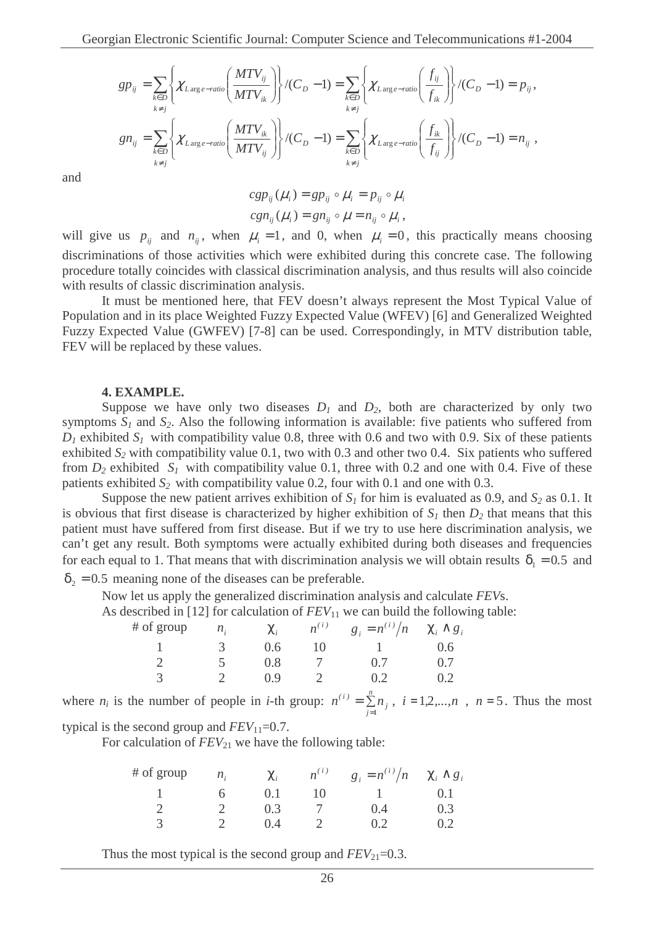$$
gp_{ij} = \sum_{k \in D} \left\{ \chi_{Large-ratio}\left(\frac{MTV_{ij}}{MTV_{ik}}\right) \right\} / (C_D - 1) = \sum_{k \in D} \left\{ \chi_{Large-ratio}\left(\frac{f_{ij}}{f_{ik}}\right) \right\} / (C_D - 1) = p_{ij},
$$
\n
$$
gn_{ij} = \sum_{k \in D} \left\{ \chi_{Large-ratio}\left(\frac{MTV_{ik}}{MTV_{ij}}\right) \right\} / (C_D - 1) = \sum_{k \in D} \left\{ \chi_{Large-ratio}\left(\frac{f_{ik}}{f_{ij}}\right) \right\} / (C_D - 1) = n_{ij},
$$

and

$$
cgp_{ij}(\mu_i) = gp_{ij} \circ \mu_i = p_{ij} \circ \mu_i
$$
  

$$
cgn_{ij}(\mu_i) = gn_{ij} \circ \mu = n_{ij} \circ \mu_i,
$$

will give us  $p_{ij}$  and  $n_{ij}$ , when  $\mu_i = 1$ , and 0, when  $\mu_i = 0$ , this practically means choosing discriminations of those activities which were exhibited during this concrete case. The following procedure totally coincides with classical discrimination analysis, and thus results will also coincide with results of classic discrimination analysis.

It must be mentioned here, that FEV doesn't always represent the Most Typical Value of Population and in its place Weighted Fuzzy Expected Value (WFEV) [6] and Generalized Weighted Fuzzy Expected Value (GWFEV) [7-8] can be used. Correspondingly, in MTV distribution table, FEV will be replaced by these values.

#### **4. EXAMPLE.**

Suppose we have only two diseases  $D_1$  and  $D_2$ , both are characterized by only two symptoms  $S_I$  and  $S_2$ . Also the following information is available: five patients who suffered from  $D_1$  exhibited  $S_1$  with compatibility value 0.8, three with 0.6 and two with 0.9. Six of these patients exhibited  $S_2$  with compatibility value 0.1, two with 0.3 and other two 0.4. Six patients who suffered from  $D_2$  exhibited  $S_1$  with compatibility value 0.1, three with 0.2 and one with 0.4. Five of these patients exhibited  $S_2$  with compatibility value 0.2, four with 0.1 and one with 0.3.

Suppose the new patient arrives exhibition of  $S<sub>1</sub>$  for him is evaluated as 0.9, and  $S<sub>2</sub>$  as 0.1. It is obvious that first disease is characterized by higher exhibition of  $S_I$  then  $D_2$  that means that this patient must have suffered from first disease. But if we try to use here discrimination analysis, we can't get any result. Both symptoms were actually exhibited during both diseases and frequencies for each equal to 1. That means that with discrimination analysis we will obtain results  $\delta_1 = 0.5$  and  $\delta_2 = 0.5$  meaning none of the diseases can be preferable.

Now let us apply the generalized discrimination analysis and calculate *FEV*s.

As described in [12] for calculation of  $FEV_{11}$  we can build the following table:

| # of group | $n_{\rm f}$ | $\chi_{i}$ |    | $n^{(i)}$ $g_i = n^{(i)}/n$ $\chi_i \wedge g_i$ |     |
|------------|-------------|------------|----|-------------------------------------------------|-----|
|            | -3-         | 0.6        | 10 |                                                 | 0.6 |
|            |             | 0.8        |    | 0.7                                             | 0.7 |
| 3          |             | 09         |    |                                                 |     |

where  $n_i$  is the number of people in *i*-th group:  $n^{(i)} = \sum_{j=1}^{n}$ *n*  $\sum_{j=1}^{\infty}$ <sup>*i*</sup> $\iota$ </sup>  $n^{(i)} = \sum_{j=1}^{n} n_j$ ,  $i = 1, 2, ..., n$ ,  $n = 5$ . Thus the most

typical is the second group and  $FEV_{11}=0.7$ .

For calculation of  $FEV_{21}$  we have the following table:

| # of group | $n_{\rm f}$ | $\chi_i$ |    | $n^{(i)}$ $g_i = n^{(i)}/n$ $\chi_i \wedge g_i$ |       |
|------------|-------------|----------|----|-------------------------------------------------|-------|
|            | h —         | 0.1      | 10 |                                                 | (0.1) |
|            |             | 0.3      |    | (1.4)                                           | 0.3   |
|            |             | () 4     |    | 02                                              | 02    |

Thus the most typical is the second group and  $FEV_{21} = 0.3$ .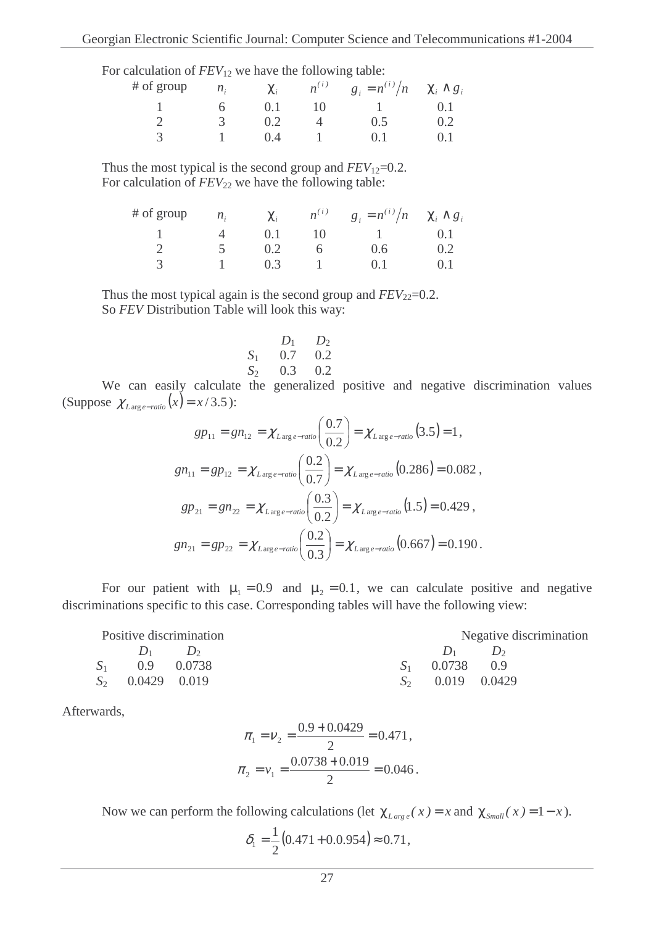| For calculation of $FEV_{12}$ we have the following table: |  |  |
|------------------------------------------------------------|--|--|
|------------------------------------------------------------|--|--|

| # of group                    | $n_i$          |       |                 | $\chi_i$ $n^{(i)}$ $g_i = n^{(i)}/n$ $\chi_i \wedge g_i$ |       |
|-------------------------------|----------------|-------|-----------------|----------------------------------------------------------|-------|
| $\mathbf{I}$ and $\mathbf{I}$ | 6 <sup>6</sup> | 0.1   | $\overline{10}$ | $1 \qquad \qquad 0.1$                                    |       |
|                               |                | 0.2   |                 | 0.5                                                      | 02    |
| $\mathcal{A}$                 |                | (0.4) |                 | $()$ 1                                                   | (0,1) |

Thus the most typical is the second group and  $FEV_{12}=0.2$ . For calculation of  $FEV_{22}$  we have the following table:

| # of group | $n_{i}$           | $\chi_i$ |    | $n^{(i)}$ $g_i = n^{(i)}/n$ $\chi_i \wedge g_i$ |       |
|------------|-------------------|----------|----|-------------------------------------------------|-------|
|            | $\mathbf{\Delta}$ | 0.1      | 10 |                                                 |       |
|            |                   | 0.2      |    | 0.6                                             | 0.2   |
| 3          |                   | 0.3      |    | $()$ 1                                          | (0.1) |

Thus the most typical again is the second group and  $FEV_{22}=0.2$ . So *FEV* Distribution Table will look this way:

$$
\begin{array}{cc}\n & D_1 & D_2 \\
S_1 & 0.7 & 0.2 \\
S_2 & 0.3 & 0.2\n\end{array}
$$

We can easily calculate the generalized positive and negative discrimination values (Suppose  $\chi$ <sub>*L*arge−*ratio*</sub> (*x*) = *x* / 3.5 ):

$$
gp_{11} = gn_{12} = \chi_{Large-ratio}\left(\frac{0.7}{0.2}\right) = \chi_{Large-ratio}\left(3.5\right) = 1,
$$
\n
$$
gn_{11} = gp_{12} = \chi_{Large-ratio}\left(\frac{0.2}{0.7}\right) = \chi_{Large-ratio}\left(0.286\right) = 0.082,
$$
\n
$$
gp_{21} = gn_{22} = \chi_{Large-ratio}\left(\frac{0.3}{0.2}\right) = \chi_{Large-ratio}\left(1.5\right) = 0.429,
$$
\n
$$
gn_{21} = gp_{22} = \chi_{Large-ratio}\left(\frac{0.2}{0.3}\right) = \chi_{Large-ratio}\left(0.667\right) = 0.190.
$$

For our patient with  $\mu_1 = 0.9$  and  $\mu_2 = 0.1$ , we can calculate positive and negative discriminations specific to this case. Corresponding tables will have the following view:

| Positive discrimination |                    |  | Negative discrimination |             |
|-------------------------|--------------------|--|-------------------------|-------------|
|                         | $D_1$ $D_2$        |  |                         | $D_1$ $D_2$ |
|                         | $S_1$ 0.9 0.0738   |  | $S_1$ 0.0738 0.9        |             |
|                         | $S_2$ 0.0429 0.019 |  | $S_2$ 0.019 0.0429      |             |

Afterwards,

$$
\pi_1 = \nu_2 = \frac{0.9 + 0.0429}{2} = 0.471,
$$
  

$$
\pi_2 = \nu_1 = \frac{0.0738 + 0.019}{2} = 0.046.
$$

Now we can perform the following calculations (let  $\chi_{Large}(x) = x$  and  $\chi_{Small}(x) = 1-x$ ).

$$
\delta_1 = \frac{1}{2}(0.471 + 0.0.954) \approx 0.71,
$$